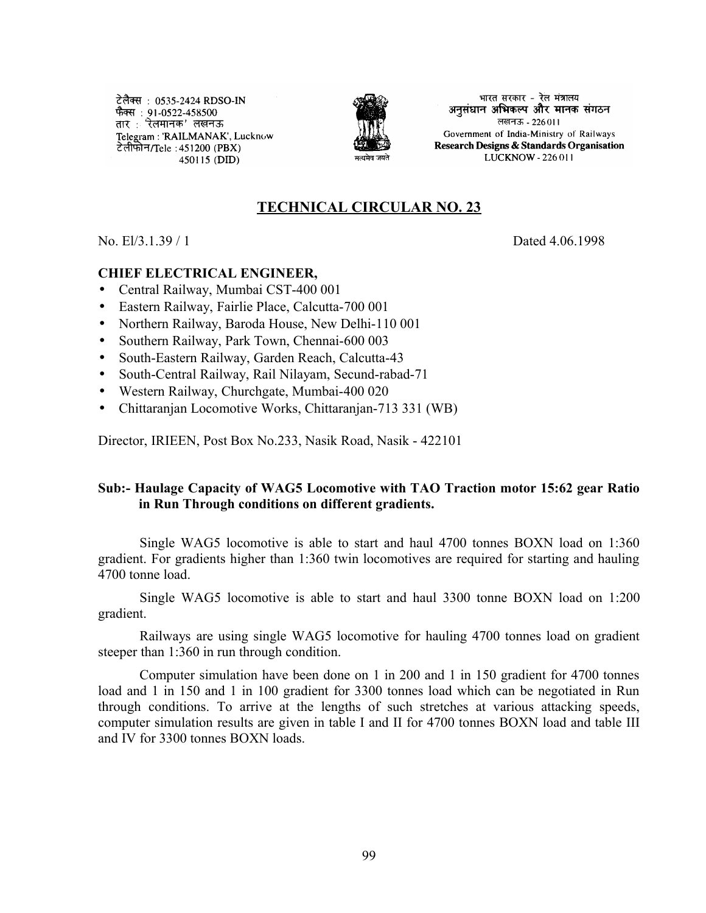टेलैक्स: 0535-2424 RDSO-IN फैक्स : 91-0522-458500 तार : 'रेलमानक' लखनऊ Telegram: 'RAILMANAK', Lucknow टेलीफोन/Tele : 451200 (PBX) 450115 (DID)



भारत सरकार - रेल मंत्रालय अनुसंधान अभिकल्प और मानक संगठन लखनऊ - 226011 Government of India-Ministry of Railways Research Designs & Standards Organisation LUCKNOW - 226 011

# **TECHNICAL CIRCULAR NO. 23**

No. El/3.1.39 / 1 Dated 4.06.1998

#### **CHIEF ELECTRICAL ENGINEER,**

- Central Railway, Mumbai CST-400 001
- Eastern Railway, Fairlie Place, Calcutta-700 001
- Northern Railway, Baroda House, New Delhi-110 001
- Southern Railway, Park Town, Chennai-600 003
- South-Eastern Railway, Garden Reach, Calcutta-43
- South-Central Railway, Rail Nilayam, Secund-rabad-71
- Western Railway, Churchgate, Mumbai-400 020
- Chittaranjan Locomotive Works, Chittaranjan-713 331 (WB)

Director, IRIEEN, Post Box No.233, Nasik Road, Nasik - 422101

#### **Sub:- Haulage Capacity of WAG5 Locomotive with TAO Traction motor 15:62 gear Ratio in Run Through conditions on different gradients.**

Single WAG5 locomotive is able to start and haul 4700 tonnes BOXN load on 1:360 gradient. For gradients higher than 1:360 twin locomotives are required for starting and hauling 4700 tonne load.

Single WAG5 locomotive is able to start and haul 3300 tonne BOXN load on 1:200 gradient.

Railways are using single WAG5 locomotive for hauling 4700 tonnes load on gradient steeper than 1:360 in run through condition.

Computer simulation have been done on 1 in 200 and 1 in 150 gradient for 4700 tonnes load and 1 in 150 and 1 in 100 gradient for 3300 tonnes load which can be negotiated in Run through conditions. To arrive at the lengths of such stretches at various attacking speeds, computer simulation results are given in table I and II for 4700 tonnes BOXN load and table III and IV for 3300 tonnes BOXN loads.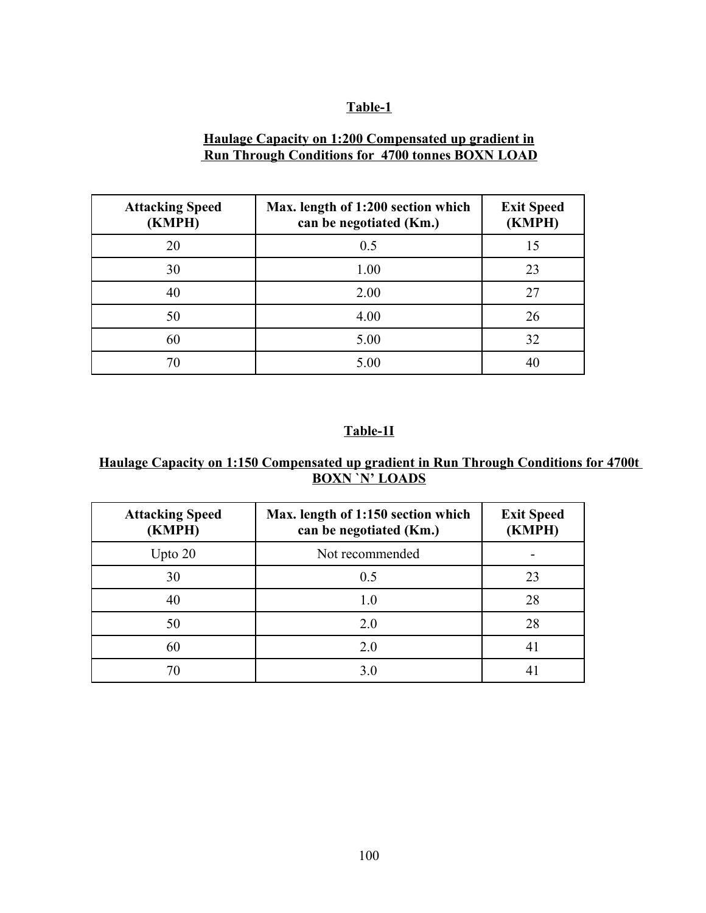#### **Table-1**

## **Haulage Capacity on 1:200 Compensated up gradient in Run Through Conditions for 4700 tonnes BOXN LOAD**

| <b>Attacking Speed</b><br>(KMPH) | Max. length of 1:200 section which<br>can be negotiated (Km.) | <b>Exit Speed</b><br>(KMPH) |
|----------------------------------|---------------------------------------------------------------|-----------------------------|
| 20                               | 0.5                                                           | 15                          |
| 30                               | 1.00                                                          | 23                          |
| 40                               | 2.00                                                          | 27                          |
| 50                               | 4.00                                                          | 26                          |
| 60                               | 5.00                                                          | 32                          |
| 70                               | 5.00                                                          |                             |

## **Table-1I**

## **Haulage Capacity on 1:150 Compensated up gradient in Run Through Conditions for 4700t BOXN `N' LOADS**

| <b>Attacking Speed</b><br>(KMPH) | Max. length of 1:150 section which<br>can be negotiated (Km.) | <b>Exit Speed</b><br>(KMPH) |
|----------------------------------|---------------------------------------------------------------|-----------------------------|
| Upto $20$                        | Not recommended                                               |                             |
| 30                               | 0.5                                                           | 23                          |
| 40                               | 1.0                                                           | 28                          |
| 50                               | 2.0                                                           | 28                          |
| 60                               | 2.0                                                           | 4 <sup>i</sup>              |
| 70                               | 3.0                                                           |                             |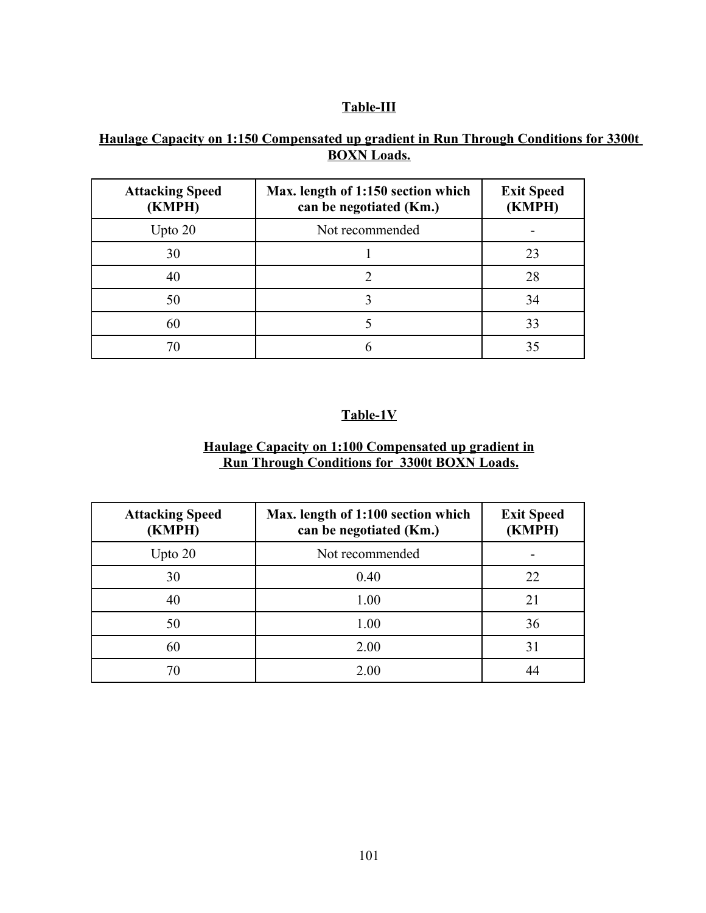### **Table-III**

## **Haulage Capacity on 1:150 Compensated up gradient in Run Through Conditions for 3300t BOXN Loads.**

| <b>Attacking Speed</b><br>(KMPH) | Max. length of 1:150 section which<br>can be negotiated (Km.) | <b>Exit Speed</b><br>(KMPH) |
|----------------------------------|---------------------------------------------------------------|-----------------------------|
| Upto $20$                        | Not recommended                                               |                             |
| 30                               |                                                               | 23                          |
| 40                               |                                                               | 28                          |
| 50                               |                                                               | 34                          |
| 60                               |                                                               | 33                          |
|                                  |                                                               |                             |

# **Table-1V**

#### **Haulage Capacity on 1:100 Compensated up gradient in Run Through Conditions for 3300t BOXN Loads.**

| <b>Attacking Speed</b><br>(KMPH) | Max. length of 1:100 section which<br>can be negotiated (Km.) | <b>Exit Speed</b><br>(KMPH) |
|----------------------------------|---------------------------------------------------------------|-----------------------------|
| Upto $20$                        | Not recommended                                               |                             |
| 30                               | 0.40                                                          | 22                          |
| 40                               | 1.00                                                          | 21                          |
| 50                               | 1.00                                                          | 36                          |
| 60                               | 2.00                                                          | 31                          |
|                                  | 2.00                                                          |                             |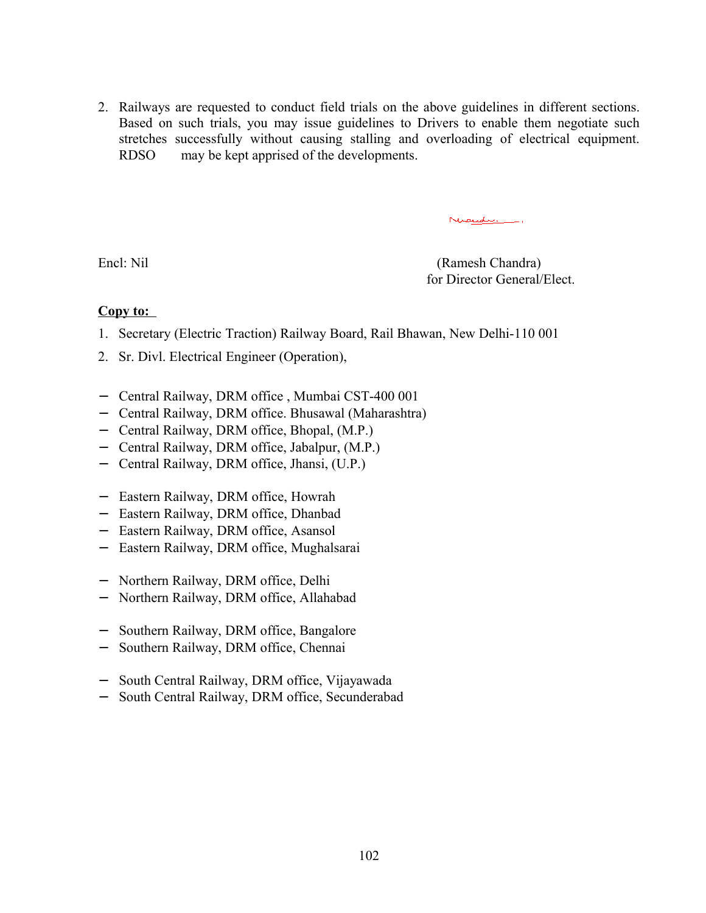2. Railways are requested to conduct field trials on the above guidelines in different sections. Based on such trials, you may issue guidelines to Drivers to enable them negotiate such stretches successfully without causing stalling and overloading of electrical equipment. RDSO may be kept apprised of the developments.

Nicelli.

Encl: Nil (Ramesh Chandra) for Director General/Elect.

#### Copy to:

- 1. Secretary (Electric Traction) Railway Board, Rail Bhawan, New Delhi-110 001
- 2. Sr. Divl. Electrical Engineer (Operation),
- − Central Railway, DRM office , Mumbai CST-400 001
- − Central Railway, DRM office. Bhusawal (Maharashtra)
- − Central Railway, DRM office, Bhopal, (M.P.)
- − Central Railway, DRM office, Jabalpur, (M.P.)
- − Central Railway, DRM office, Jhansi, (U.P.)
- − Eastern Railway, DRM office, Howrah
- − Eastern Railway, DRM office, Dhanbad
- − Eastern Railway, DRM office, Asansol
- − Eastern Railway, DRM office, Mughalsarai
- − Northern Railway, DRM office, Delhi
- − Northern Railway, DRM office, Allahabad
- − Southern Railway, DRM office, Bangalore
- − Southern Railway, DRM office, Chennai
- − South Central Railway, DRM office, Vijayawada
- − South Central Railway, DRM office, Secunderabad